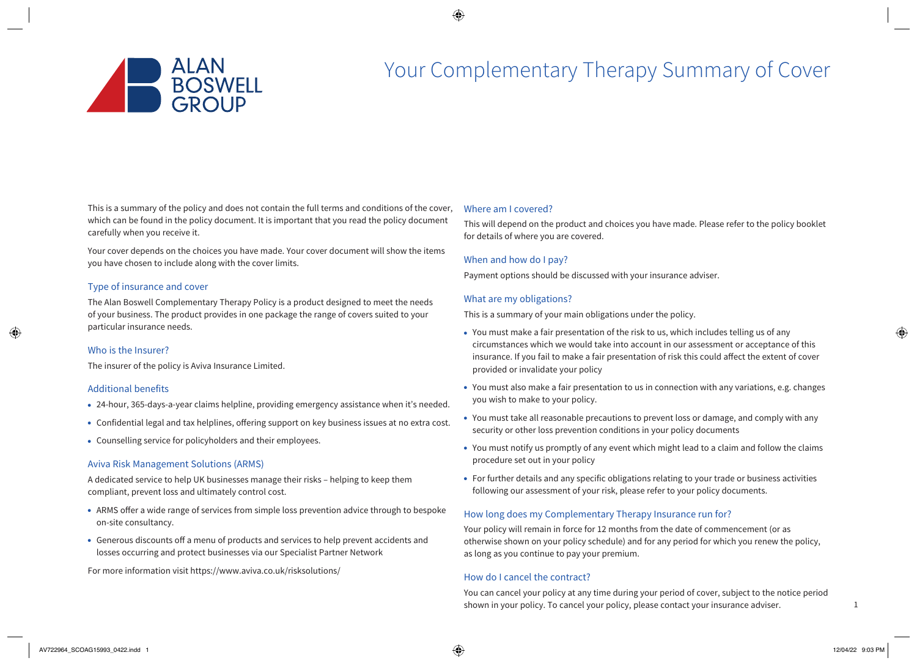

# Your Complementary Therapy Summary of Cover

This is a summary of the policy and does not contain the full terms and conditions of the cover, which can be found in the policy document. It is important that you read the policy document carefully when you receive it.

Your cover depends on the choices you have made. Your cover document will show the items you have chosen to include along with the cover limits.

# Type of insurance and cover

The Alan Boswell Complementary Therapy Policy is a product designed to meet the needs of your business. The product provides in one package the range of covers suited to your particular insurance needs.

#### Who is the Insurer?

The insurer of the policy is Aviva Insurance Limited.

# Additional benefits

- 24-hour, 365-days-a-year claims helpline, providing emergency assistance when it's needed.
- Confidential legal and tax helplines, offering support on key business issues at no extra cost.
- Counselling service for policyholders and their employees.

#### Aviva Risk Management Solutions (ARMS)

A dedicated service to help UK businesses manage their risks – helping to keep them compliant, prevent loss and ultimately control cost.

- ARMS offer a wide range of services from simple loss prevention advice through to bespoke on-site consultancy.
- Generous discounts off a menu of products and services to help prevent accidents and losses occurring and protect businesses via our Specialist Partner Network

For more information visit https://www.aviva.co.uk/risksolutions/

## Where am I covered?

This will depend on the product and choices you have made. Please refer to the policy booklet for details of where you are covered.

# When and how do I pay?

Payment options should be discussed with your insurance adviser.

# What are my obligations?

This is a summary of your main obligations under the policy.

- You must make a fair presentation of the risk to us, which includes telling us of any circumstances which we would take into account in our assessment or acceptance of this insurance. If you fail to make a fair presentation of risk this could affect the extent of cover provided or invalidate your policy
- You must also make a fair presentation to us in connection with any variations, e.g. changes you wish to make to your policy.
- You must take all reasonable precautions to prevent loss or damage, and comply with any security or other loss prevention conditions in your policy documents
- You must notify us promptly of any event which might lead to a claim and follow the claims procedure set out in your policy
- For further details and any specific obligations relating to your trade or business activities following our assessment of your risk, please refer to your policy documents.

# How long does my Complementary Therapy Insurance run for?

Your policy will remain in force for 12 months from the date of commencement (or as otherwise shown on your policy schedule) and for any period for which you renew the policy, as long as you continue to pay your premium.

# How do I cancel the contract?

You can cancel your policy at any time during your period of cover, subject to the notice period shown in your policy. To cancel your policy, please contact your insurance adviser.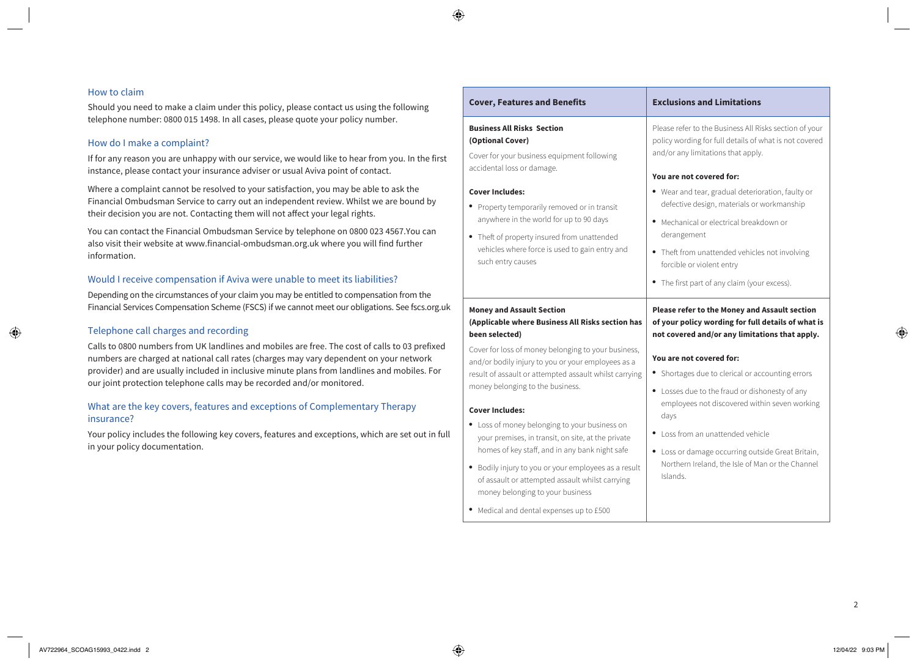## How to claim

Should you need to make a claim under this policy, please contact us using the following telephone number: 0800 015 1498. In all cases, please quote your policy number.

# How do I make a complaint?

If for any reason you are unhappy with our service, we would like to hear from you. In the first instance, please contact your insurance adviser or usual Aviva point of contact.

Where a complaint cannot be resolved to your satisfaction, you may be able to ask the Financial Ombudsman Service to carry out an independent review. Whilst we are bound by their decision you are not. Contacting them will not affect your legal rights.

You can contact the Financial Ombudsman Service by telephone on 0800 023 4567.You can also visit their website at www.financial-ombudsman.org.uk where you will find further information.

## Would I receive compensation if Aviva were unable to meet its liabilities?

Depending on the circumstances of your claim you may be entitled to compensation from the Financial Services Compensation Scheme (FSCS) if we cannot meet our obligations. See [fscs.org.uk](http://fscs.org.uk)

# Telephone call charges and recording

Calls to 0800 numbers from UK landlines and mobiles are free. The cost of calls to 03 prefixed numbers are charged at national call rates (charges may vary dependent on your network provider) and are usually included in inclusive minute plans from landlines and mobiles. For our joint protection telephone calls may be recorded and/or monitored.

# What are the key covers, features and exceptions of Complementary Therapy insurance?

Your policy includes the following key covers, features and exceptions, which are set out in full in your policy documentation.

| <b>Cover, Features and Benefits</b>                                                                                                                                                                                                                                                                                                                                                                                                                                                                                                                                                                                                                                                         | <b>Exclusions and Limitations</b>                                                                                                                                                                                                                                                                                                                                                                                                                                                                      |
|---------------------------------------------------------------------------------------------------------------------------------------------------------------------------------------------------------------------------------------------------------------------------------------------------------------------------------------------------------------------------------------------------------------------------------------------------------------------------------------------------------------------------------------------------------------------------------------------------------------------------------------------------------------------------------------------|--------------------------------------------------------------------------------------------------------------------------------------------------------------------------------------------------------------------------------------------------------------------------------------------------------------------------------------------------------------------------------------------------------------------------------------------------------------------------------------------------------|
| <b>Business All Risks Section</b><br>(Optional Cover)<br>Cover for your business equipment following<br>accidental loss or damage.<br><b>Cover Includes:</b><br>• Property temporarily removed or in transit<br>anywhere in the world for up to 90 days<br>Theft of property insured from unattended<br>vehicles where force is used to gain entry and<br>such entry causes                                                                                                                                                                                                                                                                                                                 | Please refer to the Business All Risks section of your<br>policy wording for full details of what is not covered<br>and/or any limitations that apply.<br>You are not covered for:<br>• Wear and tear, gradual deterioration, faulty or<br>defective design, materials or workmanship<br>• Mechanical or electrical breakdown or<br>derangement<br>• Theft from unattended vehicles not involving<br>forcible or violent entry<br>• The first part of any claim (your excess).                         |
| <b>Money and Assault Section</b><br>(Applicable where Business All Risks section has<br>been selected)<br>Cover for loss of money belonging to your business,<br>and/or bodily injury to you or your employees as a<br>result of assault or attempted assault whilst carrying<br>money belonging to the business.<br><b>Cover Includes:</b><br>Loss of money belonging to your business on<br>your premises, in transit, on site, at the private<br>homes of key staff, and in any bank night safe<br>• Bodily injury to you or your employees as a result<br>of assault or attempted assault whilst carrying<br>money belonging to your business<br>Medical and dental expenses up to £500 | Please refer to the Money and Assault section<br>of your policy wording for full details of what is<br>not covered and/or any limitations that apply.<br>You are not covered for:<br>• Shortages due to clerical or accounting errors<br>• Losses due to the fraud or dishonesty of any<br>employees not discovered within seven working<br>days<br>Loss from an unattended vehicle<br>Loss or damage occurring outside Great Britain,<br>Northern Ireland, the Isle of Man or the Channel<br>Islands. |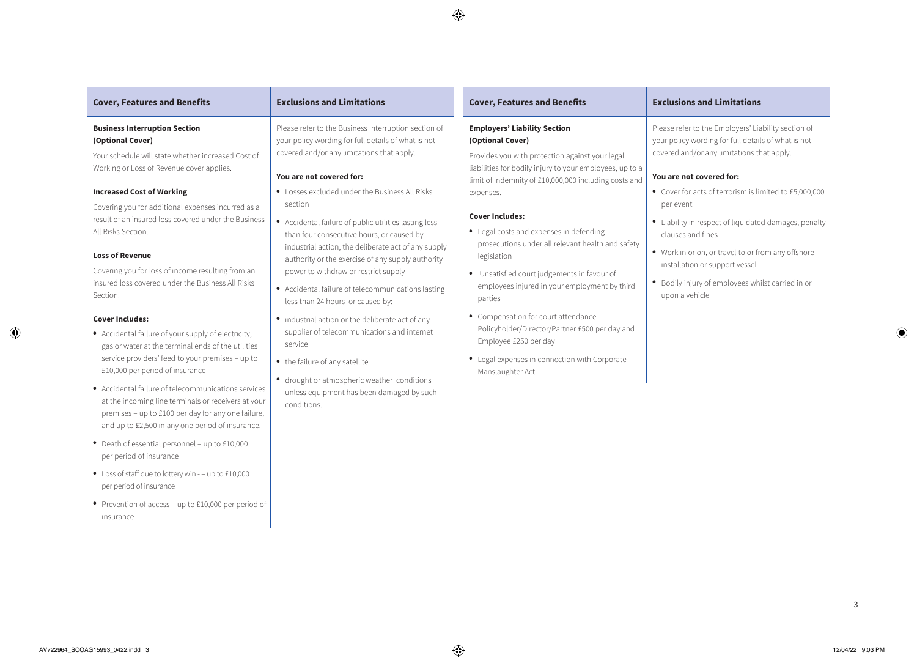| <b>Cover, Features and Benefits</b>                                                                                                                                                                                                                                              | <b>Exclusions and Limitations</b>                                                                                                                                                                                                                                                                                                                           | <b>Cover, Features and Benefits</b>                                                                                                                                                                                                              |
|----------------------------------------------------------------------------------------------------------------------------------------------------------------------------------------------------------------------------------------------------------------------------------|-------------------------------------------------------------------------------------------------------------------------------------------------------------------------------------------------------------------------------------------------------------------------------------------------------------------------------------------------------------|--------------------------------------------------------------------------------------------------------------------------------------------------------------------------------------------------------------------------------------------------|
| <b>Business Interruption Section</b><br>(Optional Cover)                                                                                                                                                                                                                         | Please refer to the Business Interruption section of<br>your policy wording for full details of what is not                                                                                                                                                                                                                                                 | <b>Employers' Liability Section</b><br>(Optional Cover)                                                                                                                                                                                          |
| Your schedule will state whether increased Cost of                                                                                                                                                                                                                               | covered and/or any limitations that apply.                                                                                                                                                                                                                                                                                                                  | Provides you with protection against your legal                                                                                                                                                                                                  |
| Working or Loss of Revenue cover applies.                                                                                                                                                                                                                                        | You are not covered for:                                                                                                                                                                                                                                                                                                                                    | liabilities for bodily injury to your employees, up to a<br>limit of indemnity of £10,000,000 including costs and                                                                                                                                |
| <b>Increased Cost of Working</b>                                                                                                                                                                                                                                                 | • Losses excluded under the Business All Risks                                                                                                                                                                                                                                                                                                              | expenses.                                                                                                                                                                                                                                        |
| Covering you for additional expenses incurred as a<br>result of an insured loss covered under the Business<br>All Risks Section.<br><b>Loss of Revenue</b><br>Covering you for loss of income resulting from an<br>insured loss covered under the Business All Risks<br>Section. | section<br>• Accidental failure of public utilities lasting less<br>than four consecutive hours, or caused by<br>industrial action, the deliberate act of any supply<br>authority or the exercise of any supply authority<br>power to withdraw or restrict supply<br>• Accidental failure of telecommunications lasting<br>less than 24 hours or caused by: | <b>Cover Includes:</b><br>• Legal costs and expenses in defending<br>prosecutions under all relevant health and safety<br>legislation<br>• Unsatisfied court judgements in favour of<br>employees injured in your employment by third<br>parties |
| <b>Cover Includes:</b><br>• Accidental failure of your supply of electricity,<br>gas or water at the terminal ends of the utilities<br>service providers' feed to your premises - up to<br>£10,000 per period of insurance                                                       | • industrial action or the deliberate act of any<br>supplier of telecommunications and internet<br>service<br>• the failure of any satellite<br>• drought or atmospheric weather conditions                                                                                                                                                                 | • Compensation for court attendance -<br>Policyholder/Director/Partner £500 per day and<br>Employee £250 per day<br>• Legal expenses in connection with Corporate<br>Manslaughter Act                                                            |
| • Accidental failure of telecommunications services<br>at the incoming line terminals or receivers at your                                                                                                                                                                       | unless equipment has been damaged by such<br>conditions.                                                                                                                                                                                                                                                                                                    |                                                                                                                                                                                                                                                  |

#### **Business Interruption Section (Optional Cover)**

# **Increased Cost of Working**

#### **Loss of Revenue**

#### **Cover Includes:**

- Accidental failure of your supply of electricity, gas or water at the terminal ends of the utilities service providers' feed to your premises – up to £10,000 per period of insurance
- Accidental failure of telecommunications services at the incoming line terminals or receivers at your premises – up to £100 per day for any one failure, and up to £2,500 in any one period of insurance.
- Death of essential personnel up to £10,000 per period of insurance
- Loss of staff due to lottery win – up to £10,000 per period of insurance
- Prevention of access up to £10,000 per period of insurance

- Losses excluded under the Business All Risks
- Accidental failure of public utilities lasting less
- Accidental failure of telecommunications lasting
- industrial action or the deliberate act of any
- 
- drought or atmospheric weather conditions

3